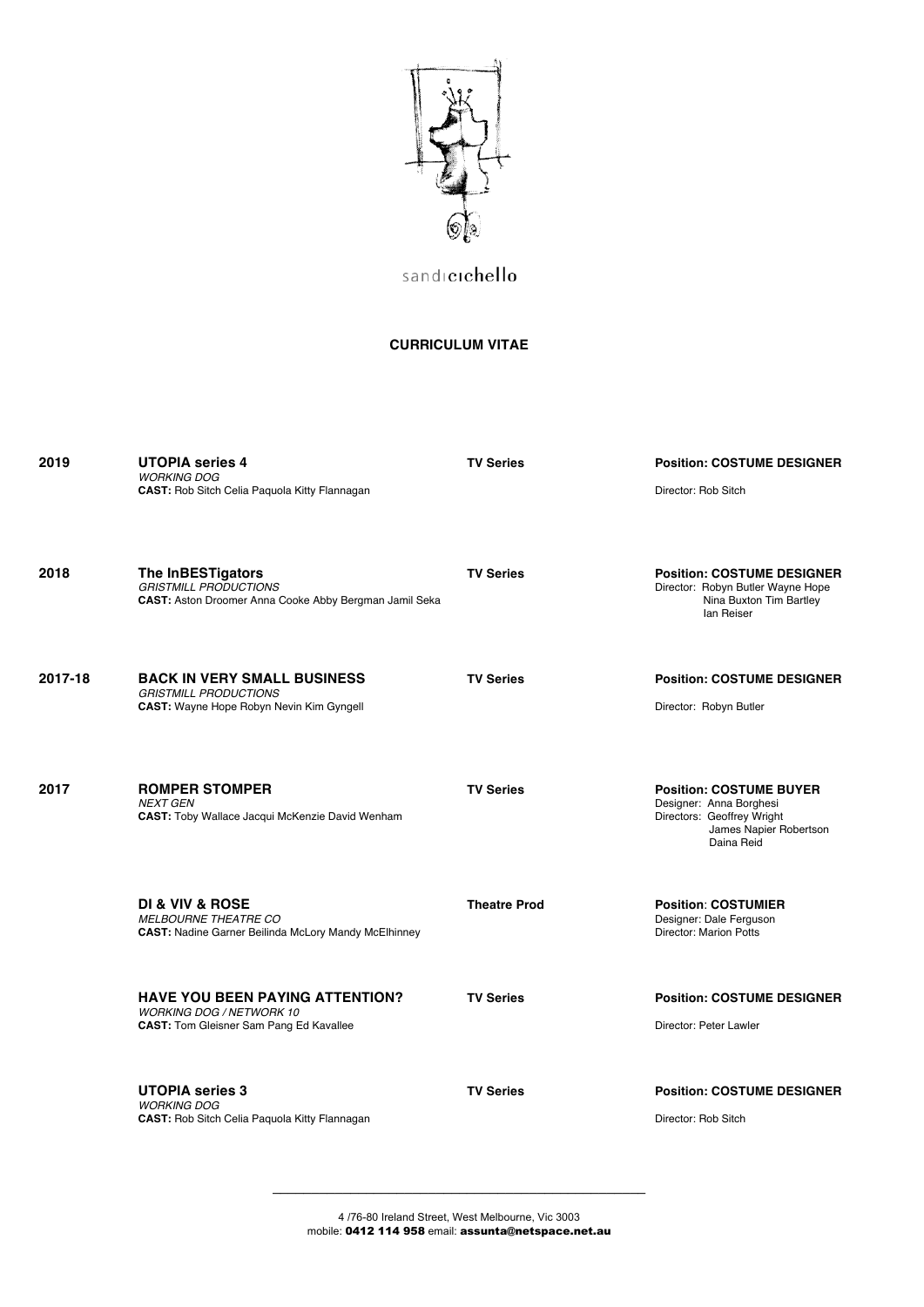

sandicichello

## **CURRICULUM VITAE**

| 2019    | <b>UTOPIA</b> series 4<br><b>WORKING DOG</b><br><b>CAST:</b> Rob Sitch Celia Paquola Kitty Flannagan                        | <b>TV Series</b>    | <b>Position: COSTUME DESIGNER</b><br>Director: Rob Sitch                                                                        |
|---------|-----------------------------------------------------------------------------------------------------------------------------|---------------------|---------------------------------------------------------------------------------------------------------------------------------|
| 2018    | The InBESTigators<br><b>GRISTMILL PRODUCTIONS</b><br>CAST: Aston Droomer Anna Cooke Abby Bergman Jamil Seka                 | <b>TV Series</b>    | <b>Position: COSTUME DESIGNER</b><br>Director: Robyn Butler Wayne Hope<br>Nina Buxton Tim Bartley<br>lan Reiser                 |
| 2017-18 | <b>BACK IN VERY SMALL BUSINESS</b><br><b>GRISTMILL PRODUCTIONS</b><br><b>CAST:</b> Wayne Hope Robyn Nevin Kim Gyngell       | <b>TV Series</b>    | <b>Position: COSTUME DESIGNER</b><br>Director: Robyn Butler                                                                     |
| 2017    | <b>ROMPER STOMPER</b><br><b>NEXT GEN</b><br><b>CAST:</b> Toby Wallace Jacqui McKenzie David Wenham                          | <b>TV Series</b>    | <b>Position: COSTUME BUYER</b><br>Designer: Anna Borghesi<br>Directors: Geoffrey Wright<br>James Napier Robertson<br>Daina Reid |
|         | DI & VIV & ROSE<br><b>MELBOURNE THEATRE CO</b><br><b>CAST:</b> Nadine Garner Beilinda McLory Mandy McElhinney               | <b>Theatre Prod</b> | <b>Position: COSTUMIER</b><br>Designer: Dale Ferguson<br>Director: Marion Potts                                                 |
|         | <b>HAVE YOU BEEN PAYING ATTENTION?</b><br><b>WORKING DOG / NETWORK 10</b><br><b>CAST:</b> Tom Gleisner Sam Pang Ed Kavallee | <b>TV Series</b>    | <b>Position: COSTUME DESIGNER</b><br>Director: Peter Lawler                                                                     |
|         | <b>UTOPIA series 3</b><br><b>WORKING DOG</b><br>CAST: Rob Sitch Celia Paquola Kitty Flannagan                               | <b>TV Series</b>    | <b>Position: COSTUME DESIGNER</b><br>Director: Rob Sitch                                                                        |

4 /76-80 Ireland Street, West Melbourne, Vic 3003 mobile: 0412 114 958 email: assunta@netspace.net.au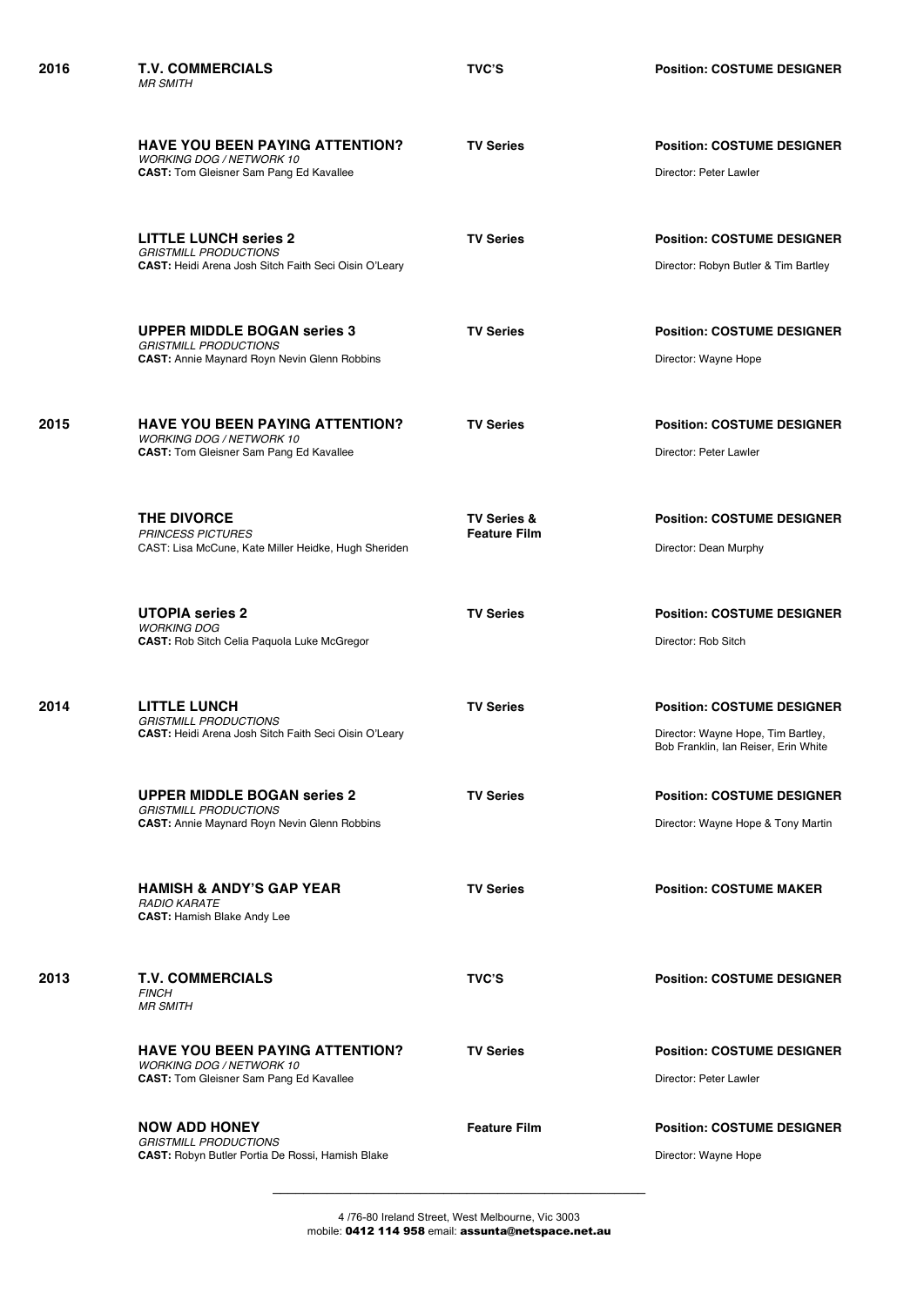|      | <b>HAVE YOU BEEN PAYING ATTENTION?</b><br><b>WORKING DOG / NETWORK 10</b><br><b>CAST:</b> Tom Gleisner Sam Pang Ed Kavallee  | <b>TV Series</b>                              | <b>Position: COSTUME DESIGNER</b><br>Director: Peter Lawler                                                     |
|------|------------------------------------------------------------------------------------------------------------------------------|-----------------------------------------------|-----------------------------------------------------------------------------------------------------------------|
|      | <b>LITTLE LUNCH series 2</b><br><b>GRISTMILL PRODUCTIONS</b><br><b>CAST:</b> Heidi Arena Josh Sitch Faith Seci Oisin O'Leary | <b>TV Series</b>                              | <b>Position: COSTUME DESIGNER</b><br>Director: Robyn Butler & Tim Bartley                                       |
|      | <b>UPPER MIDDLE BOGAN series 3</b><br><b>GRISTMILL PRODUCTIONS</b><br><b>CAST:</b> Annie Maynard Royn Nevin Glenn Robbins    | <b>TV Series</b>                              | <b>Position: COSTUME DESIGNER</b><br>Director: Wayne Hope                                                       |
| 2015 | <b>HAVE YOU BEEN PAYING ATTENTION?</b><br><b>WORKING DOG / NETWORK 10</b><br><b>CAST:</b> Tom Gleisner Sam Pang Ed Kavallee  | <b>TV Series</b>                              | <b>Position: COSTUME DESIGNER</b><br>Director: Peter Lawler                                                     |
|      | <b>THE DIVORCE</b><br><b>PRINCESS PICTURES</b><br>CAST: Lisa McCune, Kate Miller Heidke, Hugh Sheriden                       | <b>TV Series &amp;</b><br><b>Feature Film</b> | <b>Position: COSTUME DESIGNER</b><br>Director: Dean Murphy                                                      |
|      | <b>UTOPIA series 2</b><br><b>WORKING DOG</b><br>CAST: Rob Sitch Celia Paquola Luke McGregor                                  | <b>TV Series</b>                              | <b>Position: COSTUME DESIGNER</b><br>Director: Rob Sitch                                                        |
| 2014 | <b>LITTLE LUNCH</b><br><b>GRISTMILL PRODUCTIONS</b><br>CAST: Heidi Arena Josh Sitch Faith Seci Oisin O'Leary                 | <b>TV Series</b>                              | <b>Position: COSTUME DESIGNER</b><br>Director: Wayne Hope, Tim Bartley,<br>Bob Franklin, Ian Reiser, Erin White |
|      | <b>UPPER MIDDLE BOGAN series 2</b><br><b>GRISTMILL PRODUCTIONS</b><br><b>CAST: Annie Maynard Royn Nevin Glenn Robbins</b>    | <b>TV Series</b>                              | <b>Position: COSTUME DESIGNER</b><br>Director: Wayne Hope & Tony Martin                                         |
|      | <b>HAMISH &amp; ANDY'S GAP YEAR</b><br><b>RADIO KARATE</b><br><b>CAST: Hamish Blake Andy Lee</b>                             | <b>TV Series</b>                              | <b>Position: COSTUME MAKER</b>                                                                                  |
| 2013 | <b>T.V. COMMERCIALS</b><br><b>FINCH</b><br><b>MR SMITH</b>                                                                   | <b>TVC'S</b>                                  | <b>Position: COSTUME DESIGNER</b>                                                                               |
|      | <b>HAVE YOU BEEN PAYING ATTENTION?</b><br><b>WORKING DOG / NETWORK 10</b><br><b>CAST:</b> Tom Gleisner Sam Pang Ed Kavallee  | <b>TV Series</b>                              | <b>Position: COSTUME DESIGNER</b><br>Director: Peter Lawler                                                     |

**2016 T.V. COMMERCIALS TVC'S Position: COSTUME DESIGNER**

*MR SMITH*

**NOW ADD HONEY Feature Film Position: COSTUME DESIGNER** *GRISTMILL PRODUCTIONS*  **CAST:** Robyn Butler Portia De Rossi, Hamish Blake Director: Wayne Hope Director: Wayne Hope

4 /76-80 Ireland Street, West Melbourne, Vic 3003 mobile: 0412 114 958 email: assunta@netspace.net.au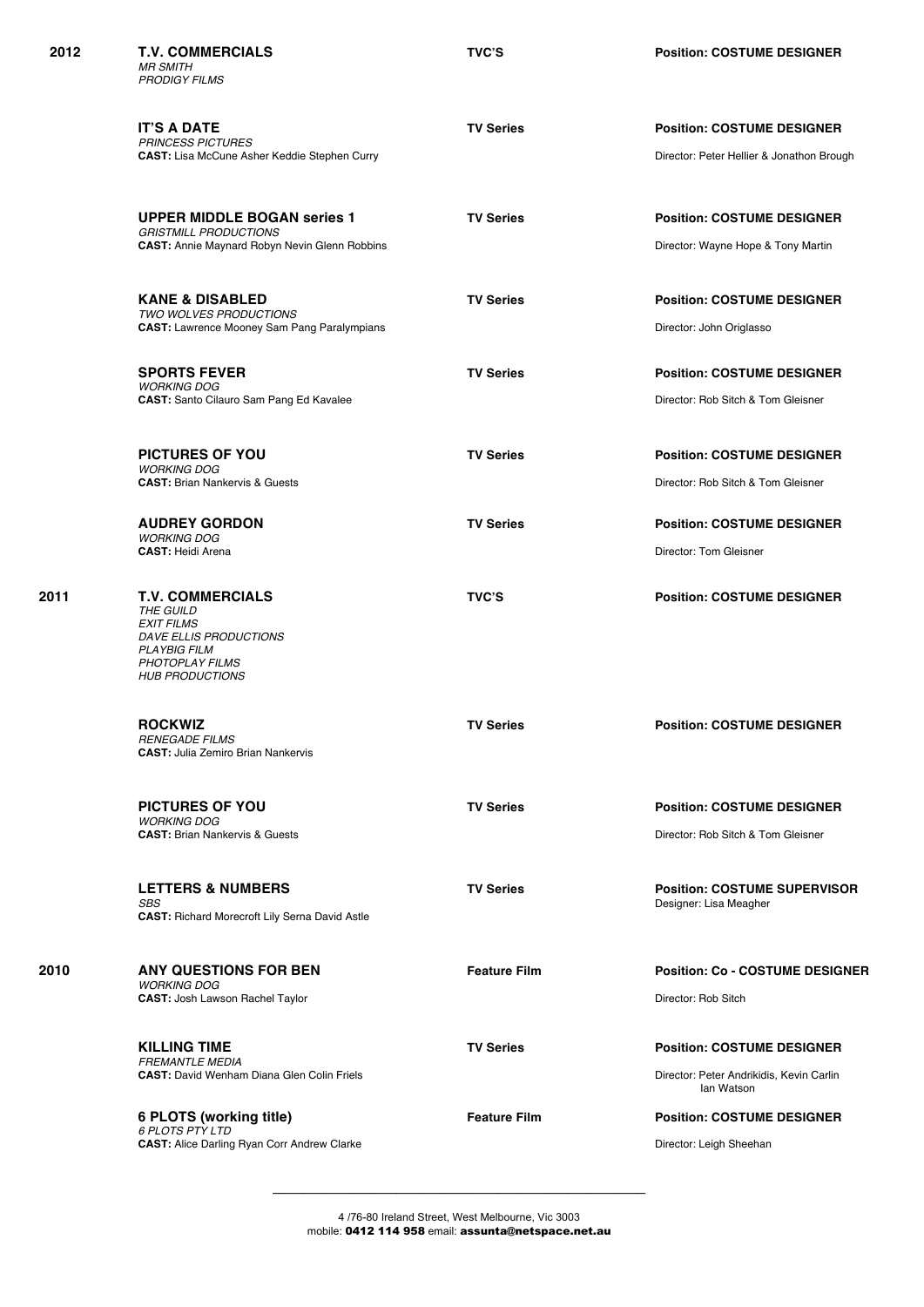| 2012 | <b>T.V. COMMERCIALS</b><br><b>MR SMITH</b><br><b>PRODIGY FILMS</b>                                                                                      | <b>TVC'S</b>        | <b>Position: COSTUME DESIGNER</b>                                                           |
|------|---------------------------------------------------------------------------------------------------------------------------------------------------------|---------------------|---------------------------------------------------------------------------------------------|
|      | <b>IT'S A DATE</b><br><b>PRINCESS PICTURES</b><br><b>CAST:</b> Lisa McCune Asher Keddie Stephen Curry                                                   | <b>TV Series</b>    | <b>Position: COSTUME DESIGNER</b><br>Director: Peter Hellier & Jonathon Brough              |
|      | <b>UPPER MIDDLE BOGAN series 1</b><br><b>GRISTMILL PRODUCTIONS</b><br><b>CAST: Annie Maynard Robyn Nevin Glenn Robbins</b>                              | <b>TV Series</b>    | <b>Position: COSTUME DESIGNER</b><br>Director: Wayne Hope & Tony Martin                     |
|      | <b>KANE &amp; DISABLED</b><br>TWO WOLVES PRODUCTIONS<br><b>CAST:</b> Lawrence Mooney Sam Pang Paralympians                                              | <b>TV Series</b>    | <b>Position: COSTUME DESIGNER</b><br>Director: John Origlasso                               |
|      | <b>SPORTS FEVER</b><br><b>WORKING DOG</b><br>CAST: Santo Cilauro Sam Pang Ed Kavalee                                                                    | <b>TV Series</b>    | <b>Position: COSTUME DESIGNER</b><br>Director: Rob Sitch & Tom Gleisner                     |
|      | PICTURES OF YOU<br><b>WORKING DOG</b><br><b>CAST: Brian Nankervis &amp; Guests</b>                                                                      | <b>TV Series</b>    | <b>Position: COSTUME DESIGNER</b><br>Director: Rob Sitch & Tom Gleisner                     |
|      | <b>AUDREY GORDON</b><br><b>WORKING DOG</b><br><b>CAST: Heidi Arena</b>                                                                                  | <b>TV Series</b>    | <b>Position: COSTUME DESIGNER</b><br>Director: Tom Gleisner                                 |
| 2011 | <b>T.V. COMMERCIALS</b><br>THE GUILD<br><b>EXIT FILMS</b><br>DAVE ELLIS PRODUCTIONS<br><b>PLAYBIG FILM</b><br>PHOTOPLAY FILMS<br><b>HUB PRODUCTIONS</b> | <b>TVC'S</b>        | <b>Position: COSTUME DESIGNER</b>                                                           |
|      | <b>ROCKWIZ</b><br><b>RENEGADE FILMS</b><br><b>CAST: Julia Zemiro Brian Nankervis</b>                                                                    | <b>TV Series</b>    | <b>Position: COSTUME DESIGNER</b>                                                           |
|      | <b>PICTURES OF YOU</b><br><b>WORKING DOG</b><br><b>CAST: Brian Nankervis &amp; Guests</b>                                                               | <b>TV Series</b>    | <b>Position: COSTUME DESIGNER</b><br>Director: Rob Sitch & Tom Gleisner                     |
|      | <b>LETTERS &amp; NUMBERS</b><br>SBS<br><b>CAST: Richard Morecroft Lily Serna David Astle</b>                                                            | <b>TV Series</b>    | <b>Position: COSTUME SUPERVISOR</b><br>Designer: Lisa Meagher                               |
| 2010 | <b>ANY QUESTIONS FOR BEN</b><br><b>WORKING DOG</b><br><b>CAST: Josh Lawson Rachel Taylor</b>                                                            | <b>Feature Film</b> | <b>Position: Co - COSTUME DESIGNER</b><br>Director: Rob Sitch                               |
|      | <b>KILLING TIME</b><br><b>FREMANTLE MEDIA</b><br><b>CAST: David Wenham Diana Glen Colin Friels</b>                                                      | <b>TV Series</b>    | <b>Position: COSTUME DESIGNER</b><br>Director: Peter Andrikidis, Kevin Carlin<br>lan Watson |
|      | 6 PLOTS (working title)<br><b>6 PLOTS PTY LTD</b><br><b>CAST: Alice Darling Ryan Corr Andrew Clarke</b>                                                 | <b>Feature Film</b> | <b>Position: COSTUME DESIGNER</b><br>Director: Leigh Sheehan                                |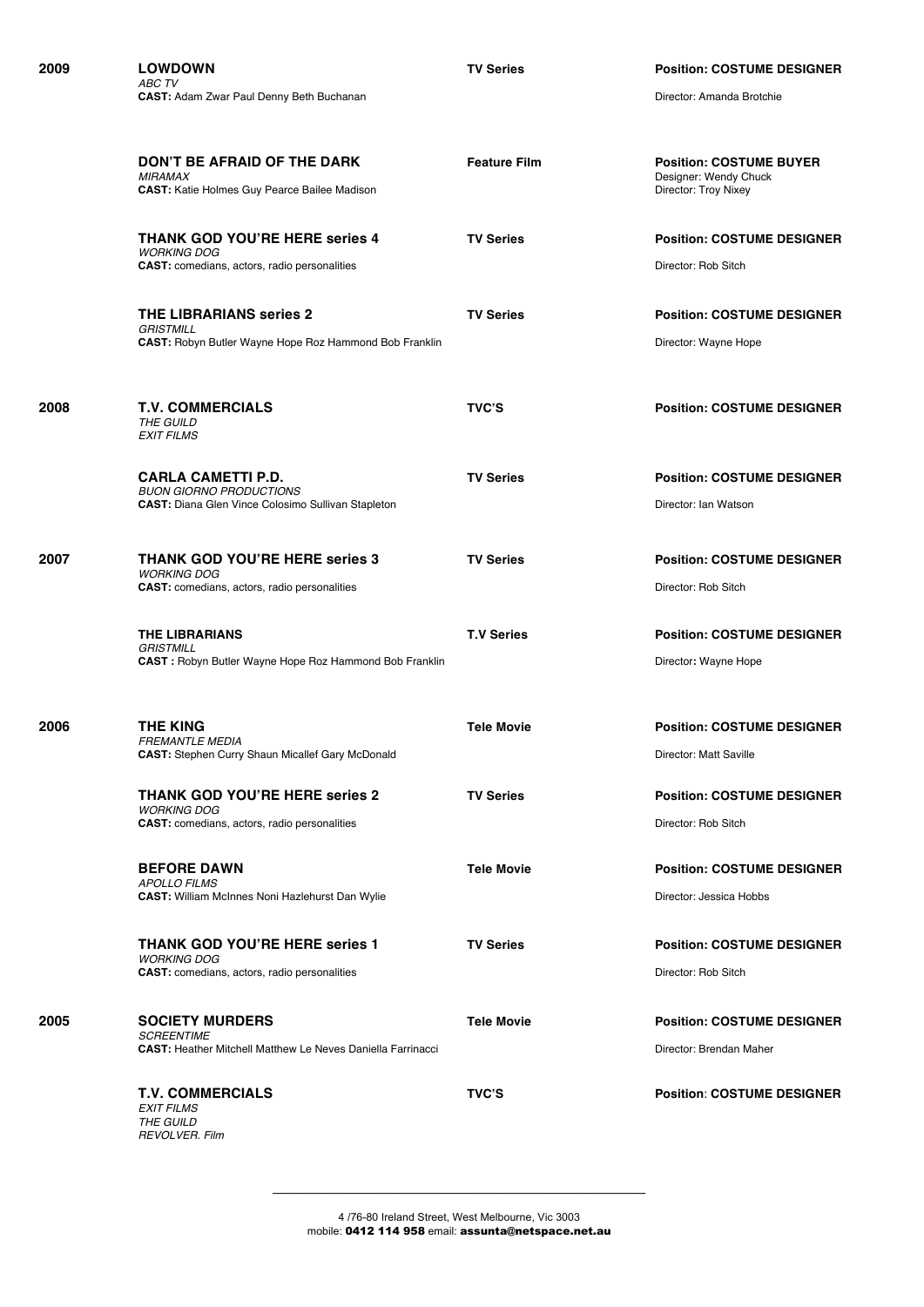| 2009 | <b>LOWDOWN</b><br><b>ABC TV</b>                                                                                          | <b>TV Series</b>    | <b>Position: COSTUME DESIGNER</b><br>Director: Amanda Brotchie                  |
|------|--------------------------------------------------------------------------------------------------------------------------|---------------------|---------------------------------------------------------------------------------|
|      | <b>CAST: Adam Zwar Paul Denny Beth Buchanan</b>                                                                          |                     |                                                                                 |
|      | DON'T BE AFRAID OF THE DARK<br><b>MIRAMAX</b><br><b>CAST:</b> Katie Holmes Guy Pearce Bailee Madison                     | <b>Feature Film</b> | <b>Position: COSTUME BUYER</b><br>Designer: Wendy Chuck<br>Director: Troy Nixey |
|      | <b>THANK GOD YOU'RE HERE series 4</b><br><b>WORKING DOG</b><br><b>CAST:</b> comedians, actors, radio personalities       | <b>TV Series</b>    | <b>Position: COSTUME DESIGNER</b><br>Director: Rob Sitch                        |
|      | <b>THE LIBRARIANS series 2</b><br><b>GRISTMILL</b><br><b>CAST:</b> Robyn Butler Wayne Hope Roz Hammond Bob Franklin      | <b>TV Series</b>    | <b>Position: COSTUME DESIGNER</b><br>Director: Wayne Hope                       |
| 2008 | <b>T.V. COMMERCIALS</b><br>THE GUILD<br><b>EXIT FILMS</b>                                                                | <b>TVC'S</b>        | <b>Position: COSTUME DESIGNER</b>                                               |
|      | <b>CARLA CAMETTI P.D.</b><br><b>BUON GIORNO PRODUCTIONS</b><br><b>CAST:</b> Diana Glen Vince Colosimo Sullivan Stapleton | <b>TV Series</b>    | <b>Position: COSTUME DESIGNER</b><br>Director: Ian Watson                       |
| 2007 | <b>THANK GOD YOU'RE HERE series 3</b><br><b>WORKING DOG</b><br>CAST: comedians, actors, radio personalities              | <b>TV Series</b>    | <b>Position: COSTUME DESIGNER</b><br>Director: Rob Sitch                        |
|      | THE LIBRARIANS<br><b>GRISTMILL</b><br><b>CAST</b> : Robyn Butler Wayne Hope Roz Hammond Bob Franklin                     | <b>T.V Series</b>   | <b>Position: COSTUME DESIGNER</b><br>Director: Wayne Hope                       |
| 2006 | <b>THE KING</b><br><b>FREMANTLE MEDIA</b><br><b>CAST:</b> Stephen Curry Shaun Micallef Gary McDonald                     | <b>Tele Movie</b>   | <b>Position: COSTUME DESIGNER</b><br>Director: Matt Saville                     |
|      | <b>THANK GOD YOU'RE HERE series 2</b><br><b>WORKING DOG</b><br><b>CAST:</b> comedians, actors, radio personalities       | <b>TV Series</b>    | <b>Position: COSTUME DESIGNER</b><br>Director: Rob Sitch                        |
|      | <b>BEFORE DAWN</b><br><b>APOLLO FILMS</b><br><b>CAST:</b> William McInnes Noni Hazlehurst Dan Wylie                      | <b>Tele Movie</b>   | <b>Position: COSTUME DESIGNER</b><br>Director: Jessica Hobbs                    |
|      | <b>THANK GOD YOU'RE HERE series 1</b><br><b>WORKING DOG</b><br><b>CAST:</b> comedians, actors, radio personalities       | <b>TV Series</b>    | <b>Position: COSTUME DESIGNER</b><br>Director: Rob Sitch                        |
| 2005 | <b>SOCIETY MURDERS</b><br><b>SCREENTIME</b><br><b>CAST: Heather Mitchell Matthew Le Neves Daniella Farrinacci</b>        | <b>Tele Movie</b>   | <b>Position: COSTUME DESIGNER</b><br>Director: Brendan Maher                    |
|      | <b>T.V. COMMERCIALS</b><br><b>EXIT FILMS</b><br>THE GUILD<br><b>REVOLVER. Film</b>                                       | <b>TVC'S</b>        | <b>Position: COSTUME DESIGNER</b>                                               |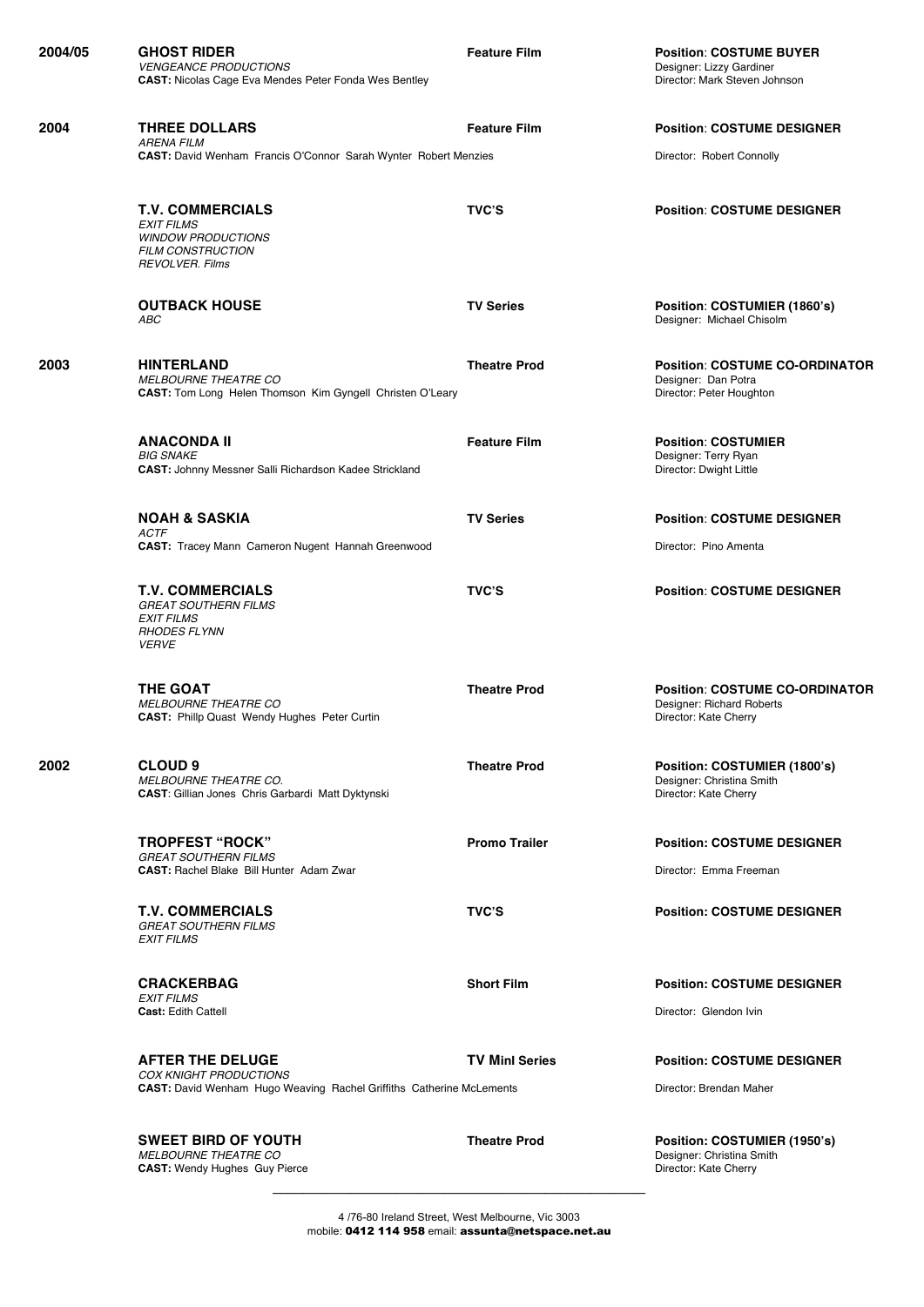| 2004/05 | <b>GHOST RIDER</b><br><b>VENGEANCE PRODUCTIONS</b><br><b>CAST:</b> Nicolas Cage Eva Mendes Peter Fonda Wes Bentley              | <b>Feature Film</b>   | <b>Position: COSTUME BUYER</b><br>Designer: Lizzy Gardiner<br>Director: Mark Steven Johnson |
|---------|---------------------------------------------------------------------------------------------------------------------------------|-----------------------|---------------------------------------------------------------------------------------------|
| 2004    | <b>THREE DOLLARS</b><br><b>ARENA FILM</b>                                                                                       | <b>Feature Film</b>   | <b>Position: COSTUME DESIGNER</b>                                                           |
|         | <b>CAST:</b> David Wenham Francis O'Connor Sarah Wynter Robert Menzies                                                          |                       | Director: Robert Connolly                                                                   |
|         | <b>T.V. COMMERCIALS</b><br><b>EXIT FILMS</b><br><b>WINDOW PRODUCTIONS</b><br><b>FILM CONSTRUCTION</b><br><b>REVOLVER. Films</b> | <b>TVC'S</b>          | <b>Position: COSTUME DESIGNER</b>                                                           |
|         | <b>OUTBACK HOUSE</b><br><b>ABC</b>                                                                                              | <b>TV Series</b>      | Position: COSTUMIER (1860's)<br>Designer: Michael Chisolm                                   |
| 2003    | <b>HINTERLAND</b><br><b>MELBOURNE THEATRE CO</b><br><b>CAST:</b> Tom Long Helen Thomson Kim Gyngell Christen O'Leary            | <b>Theatre Prod</b>   | <b>Position: COSTUME CO-ORDINATOR</b><br>Designer: Dan Potra<br>Director: Peter Houghton    |
|         | <b>ANACONDA II</b><br><b>BIG SNAKE</b><br><b>CAST: Johnny Messner Salli Richardson Kadee Strickland</b>                         | <b>Feature Film</b>   | <b>Position: COSTUMIER</b><br>Designer: Terry Ryan<br>Director: Dwight Little               |
|         | <b>NOAH &amp; SASKIA</b><br><b>ACTF</b>                                                                                         | <b>TV Series</b>      | <b>Position: COSTUME DESIGNER</b>                                                           |
|         | CAST: Tracey Mann Cameron Nugent Hannah Greenwood                                                                               |                       | Director: Pino Amenta                                                                       |
|         | <b>T.V. COMMERCIALS</b><br><b>GREAT SOUTHERN FILMS</b><br><b>EXIT FILMS</b><br><b>RHODES FLYNN</b><br><i>VERVE</i>              | <b>TVC'S</b>          | <b>Position: COSTUME DESIGNER</b>                                                           |
|         | <b>THE GOAT</b><br><b>MELBOURNE THEATRE CO</b><br><b>CAST: Phillp Quast Wendy Hughes Peter Curtin</b>                           | <b>Theatre Prod</b>   | <b>Position: COSTUME CO-ORDINATOR</b><br>Designer: Richard Roberts<br>Director: Kate Cherry |
| 2002    | <b>CLOUD 9</b><br><b>MELBOURNE THEATRE CO.</b><br><b>CAST:</b> Gillian Jones Chris Garbardi Matt Dyktynski                      | <b>Theatre Prod</b>   | Position: COSTUMIER (1800's)<br>Designer: Christina Smith<br>Director: Kate Cherry          |
|         | <b>TROPFEST "ROCK"</b><br><b>GREAT SOUTHERN FILMS</b><br><b>CAST: Rachel Blake Bill Hunter Adam Zwar</b>                        | <b>Promo Trailer</b>  | <b>Position: COSTUME DESIGNER</b><br>Director: Emma Freeman                                 |
|         | <b>T.V. COMMERCIALS</b><br><b>GREAT SOUTHERN FILMS</b><br><b>EXIT FILMS</b>                                                     | <b>TVC'S</b>          | <b>Position: COSTUME DESIGNER</b>                                                           |
|         | <b>CRACKERBAG</b>                                                                                                               | <b>Short Film</b>     | <b>Position: COSTUME DESIGNER</b>                                                           |
|         | <b>EXIT FILMS</b><br><b>Cast: Edith Cattell</b>                                                                                 |                       | Director: Glendon Ivin                                                                      |
|         | <b>AFTER THE DELUGE</b><br><b>COX KNIGHT PRODUCTIONS</b>                                                                        | <b>TV Minl Series</b> | <b>Position: COSTUME DESIGNER</b>                                                           |
|         | <b>CAST:</b> David Wenham Hugo Weaving Rachel Griffiths Catherine McLements                                                     |                       | Director: Brendan Maher                                                                     |
|         | <b>SWEET BIRD OF YOUTH</b><br><b>MELBOURNE THEATRE CO</b><br><b>CAST:</b> Wendy Hughes Guy Pierce                               | <b>Theatre Prod</b>   | Position: COSTUMIER (1950's)<br>Designer: Christina Smith<br>Director: Kate Cherry          |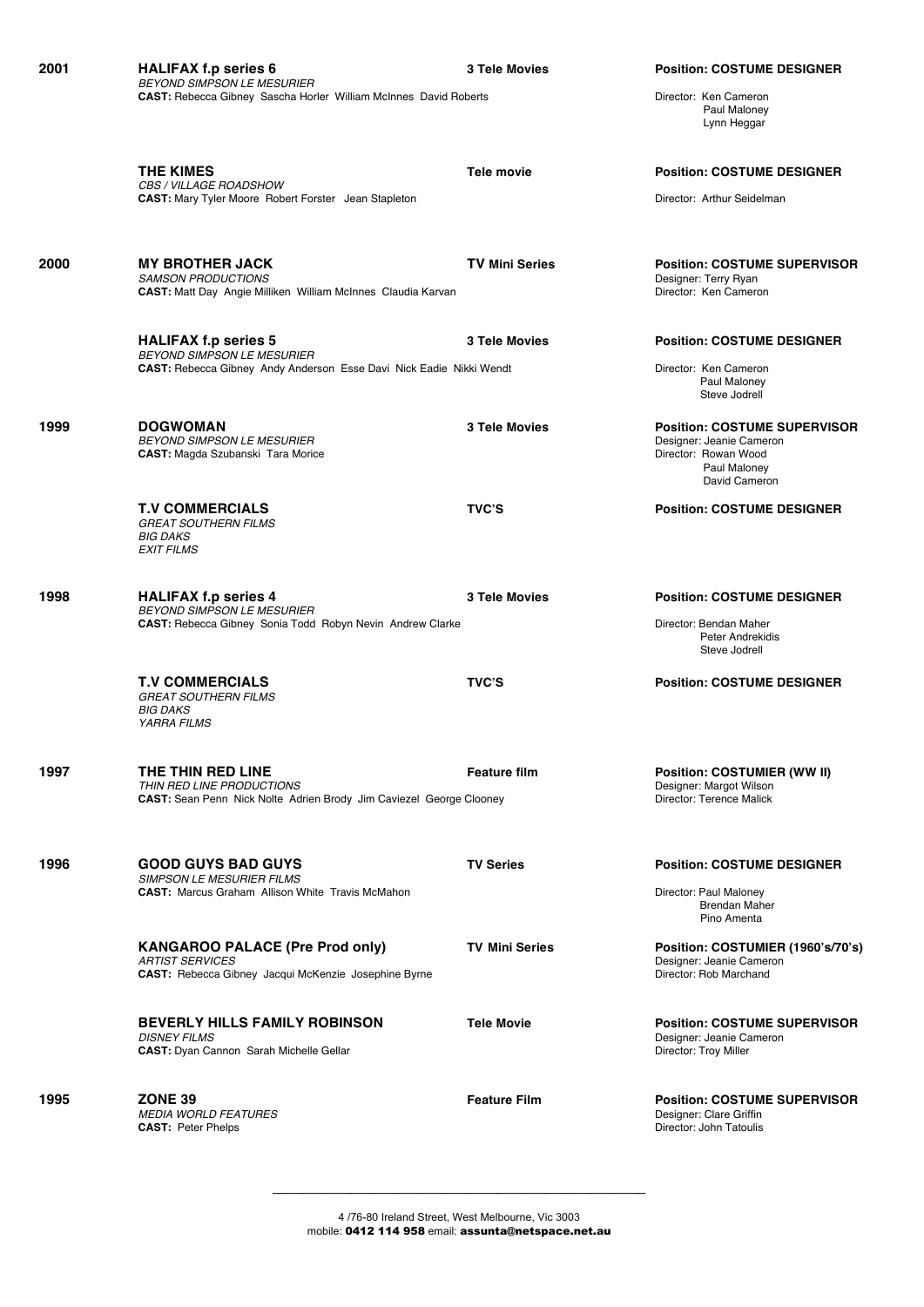| 2001 | <b>HALIFAX f.p series 6</b><br><b>BEYOND SIMPSON LE MESURIER</b>                                                                     | <b>3 Tele Movies</b>  | <b>Position: COSTUME DESIGNER</b>                                                                                        |
|------|--------------------------------------------------------------------------------------------------------------------------------------|-----------------------|--------------------------------------------------------------------------------------------------------------------------|
|      | <b>CAST:</b> Rebecca Gibney Sascha Horler William McInnes David Roberts                                                              |                       | Director: Ken Cameron<br>Paul Maloney<br>Lynn Heggar                                                                     |
|      | <b>THE KIMES</b>                                                                                                                     | <b>Tele movie</b>     | <b>Position: COSTUME DESIGNER</b>                                                                                        |
|      | CBS / VILLAGE ROADSHOW<br><b>CAST:</b> Mary Tyler Moore Robert Forster Jean Stapleton                                                |                       | Director: Arthur Seidelman                                                                                               |
| 2000 | <b>MY BROTHER JACK</b><br><b>SAMSON PRODUCTIONS</b><br><b>CAST:</b> Matt Day Angie Milliken William McInnes Claudia Karvan           | <b>TV Mini Series</b> | <b>Position: COSTUME SUPERVISOR</b><br>Designer: Terry Ryan<br>Director: Ken Cameron                                     |
|      | <b>HALIFAX f.p series 5</b>                                                                                                          | <b>3 Tele Movies</b>  | <b>Position: COSTUME DESIGNER</b>                                                                                        |
|      | <b>BEYOND SIMPSON LE MESURIER</b><br><b>CAST:</b> Rebecca Gibney Andy Anderson Esse Davi Nick Eadie Nikki Wendt                      |                       | Director: Ken Cameron<br>Paul Maloney<br>Steve Jodrell                                                                   |
| 1999 | <b>DOGWOMAN</b><br><b>BEYOND SIMPSON LE MESURIER</b><br>CAST: Magda Szubanski Tara Morice                                            | <b>3 Tele Movies</b>  | <b>Position: COSTUME SUPERVISOR</b><br>Designer: Jeanie Cameron<br>Director: Rowan Wood<br>Paul Maloney<br>David Cameron |
|      | <b>T.V COMMERCIALS</b><br><b>GREAT SOUTHERN FILMS</b><br><b>BIG DAKS</b><br><b>EXIT FILMS</b>                                        | <b>TVC'S</b>          | <b>Position: COSTUME DESIGNER</b>                                                                                        |
| 1998 | <b>HALIFAX f.p series 4</b><br><b>BEYOND SIMPSON LE MESURIER</b><br><b>CAST:</b> Rebecca Gibney Sonia Todd Robyn Nevin Andrew Clarke | <b>3 Tele Movies</b>  | <b>Position: COSTUME DESIGNER</b><br>Director: Bendan Maher<br>Peter Andrekidis<br>Steve Jodrell                         |
|      | <b>T.V COMMERCIALS</b><br><b>GREAT SOUTHERN FILMS</b><br><b>BIG DAKS</b><br><b>YARRA FILMS</b>                                       | <b>TVC'S</b>          | <b>Position: COSTUME DESIGNER</b>                                                                                        |
| 1997 | THE THIN RED LINE<br>THIN RED LINE PRODUCTIONS<br><b>CAST:</b> Sean Penn Nick Nolte Adrien Brody Jim Caviezel George Clooney         | <b>Feature film</b>   | Position: COSTUMIER (WW II)<br>Designer: Margot Wilson<br>Director: Terence Malick                                       |
| 1996 | <b>GOOD GUYS BAD GUYS</b><br><b>SIMPSON LE MESURIER FILMS</b><br><b>CAST: Marcus Graham Allison White Travis McMahon</b>             | <b>TV Series</b>      | <b>Position: COSTUME DESIGNER</b><br>Director: Paul Maloney<br><b>Brendan Maher</b><br>Pino Amenta                       |
|      | <b>KANGAROO PALACE (Pre Prod only)</b><br><b>ARTIST SERVICES</b><br>CAST: Rebecca Gibney Jacqui McKenzie Josephine Byrne             | <b>TV Mini Series</b> | Position: COSTUMIER (1960's/70's)<br>Designer: Jeanie Cameron<br>Director: Rob Marchand                                  |
|      | <b>BEVERLY HILLS FAMILY ROBINSON</b><br><b>DISNEY FILMS</b><br><b>CAST:</b> Dyan Cannon Sarah Michelle Gellar                        | <b>Tele Movie</b>     | <b>Position: COSTUME SUPERVISOR</b><br>Designer: Jeanie Cameron<br>Director: Troy Miller                                 |
| 1995 | <b>ZONE 39</b><br><b>MEDIA WORLD FEATURES</b><br><b>CAST: Peter Phelps</b>                                                           | <b>Feature Film</b>   | <b>Position: COSTUME SUPERVISOR</b><br>Designer: Clare Griffin<br>Director: John Tatoulis                                |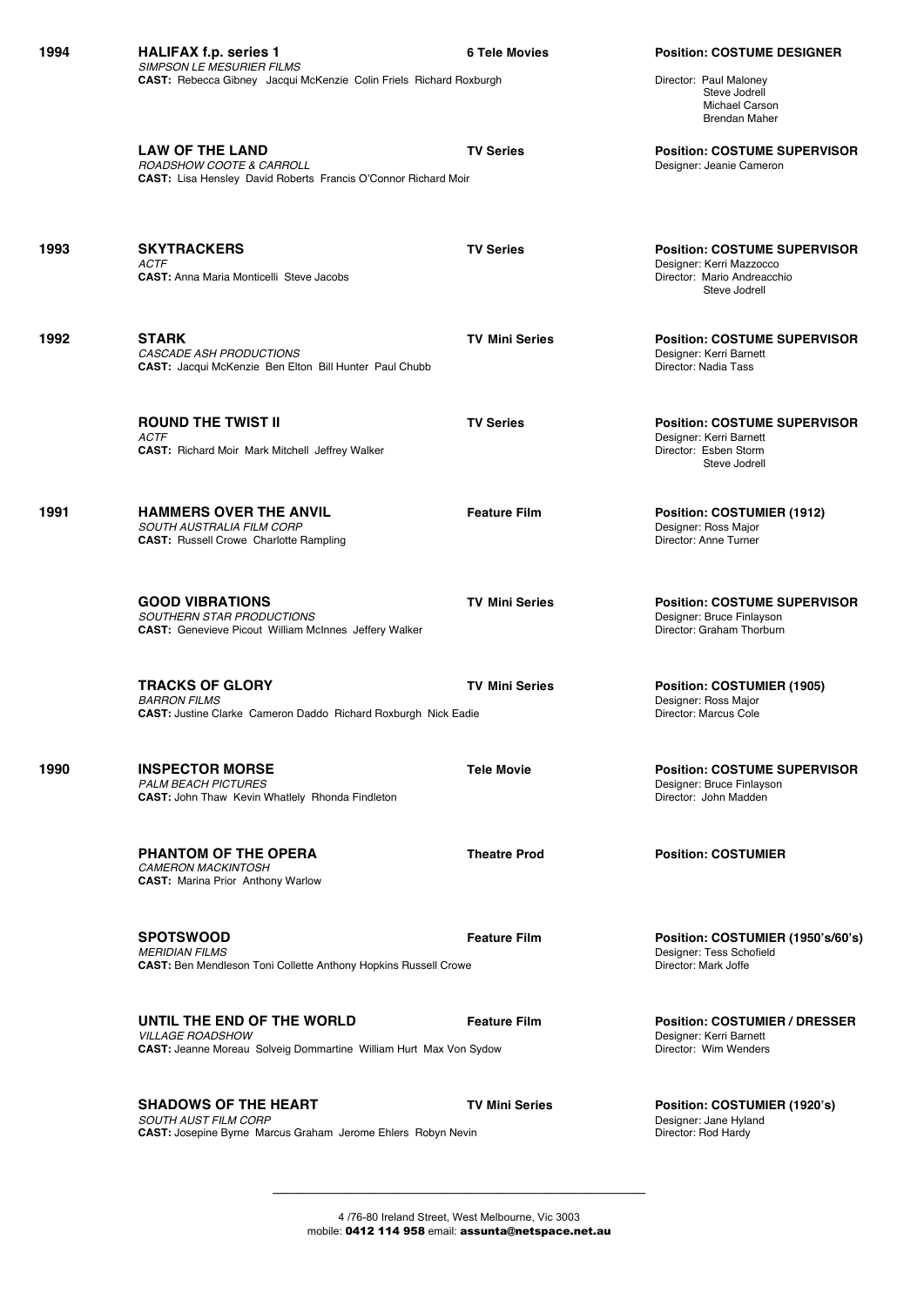| 1994 | <b>HALIFAX f.p. series 1</b><br><b>SIMPSON LE MESURIER FILMS</b>                                                                  | <b>6 Tele Movies</b>  | <b>Position: COSTUME DESIGNER</b>                                                                               |
|------|-----------------------------------------------------------------------------------------------------------------------------------|-----------------------|-----------------------------------------------------------------------------------------------------------------|
|      | <b>CAST:</b> Rebecca Gibney Jacqui McKenzie Colin Friels Richard Roxburgh                                                         |                       | Director: Paul Maloney<br>Steve Jodrell<br>Michael Carson<br><b>Brendan Maher</b>                               |
|      | <b>LAW OF THE LAND</b><br>ROADSHOW COOTE & CARROLL<br>CAST: Lisa Hensley David Roberts Francis O'Connor Richard Moir              | <b>TV Series</b>      | <b>Position: COSTUME SUPERVISOR</b><br>Designer: Jeanie Cameron                                                 |
| 1993 | <b>SKYTRACKERS</b><br><b>ACTF</b><br><b>CAST:</b> Anna Maria Monticelli Steve Jacobs                                              | <b>TV Series</b>      | <b>Position: COSTUME SUPERVISOR</b><br>Designer: Kerri Mazzocco<br>Director: Mario Andreacchio<br>Steve Jodrell |
| 1992 | <b>STARK</b><br><b>CASCADE ASH PRODUCTIONS</b><br><b>CAST:</b> Jacqui McKenzie Ben Elton Bill Hunter Paul Chubb                   | <b>TV Mini Series</b> | <b>Position: COSTUME SUPERVISOR</b><br>Designer: Kerri Barnett<br>Director: Nadia Tass                          |
|      | <b>ROUND THE TWIST II</b><br><b>ACTF</b><br><b>CAST:</b> Richard Moir Mark Mitchell Jeffrey Walker                                | <b>TV Series</b>      | <b>Position: COSTUME SUPERVISOR</b><br>Designer: Kerri Barnett<br>Director: Esben Storm<br>Steve Jodrell        |
| 1991 | <b>HAMMERS OVER THE ANVIL</b><br>SOUTH AUSTRALIA FILM CORP<br><b>CAST:</b> Russell Crowe Charlotte Rampling                       | <b>Feature Film</b>   | Position: COSTUMIER (1912)<br>Designer: Ross Major<br>Director: Anne Turner                                     |
|      | <b>GOOD VIBRATIONS</b><br>SOUTHERN STAR PRODUCTIONS<br><b>CAST:</b> Genevieve Picout William McInnes Jeffery Walker               | <b>TV Mini Series</b> | <b>Position: COSTUME SUPERVISOR</b><br>Designer: Bruce Finlayson<br>Director: Graham Thorburn                   |
|      | <b>TRACKS OF GLORY</b><br><b>BARRON FILMS</b><br><b>CAST:</b> Justine Clarke Cameron Daddo Richard Roxburgh Nick Eadie            | <b>TV Mini Series</b> | Position: COSTUMIER (1905)<br>Designer: Ross Major<br>Director: Marcus Cole                                     |
| 1990 | <b>INSPECTOR MORSE</b><br><b>PALM BEACH PICTURES</b><br><b>CAST: John Thaw Kevin Whatlely Rhonda Findleton</b>                    | <b>Tele Movie</b>     | <b>Position: COSTUME SUPERVISOR</b><br>Designer: Bruce Finlayson<br>Director: John Madden                       |
|      | <b>PHANTOM OF THE OPERA</b><br><b>CAMERON MACKINTOSH</b><br><b>CAST:</b> Marina Prior Anthony Warlow                              | <b>Theatre Prod</b>   | <b>Position: COSTUMIER</b>                                                                                      |
|      | <b>SPOTSWOOD</b><br><b>MERIDIAN FILMS</b><br><b>CAST:</b> Ben Mendleson Toni Collette Anthony Hopkins Russell Crowe               | <b>Feature Film</b>   | Position: COSTUMIER (1950's/60's)<br>Designer: Tess Schofield<br>Director: Mark Joffe                           |
|      | UNTIL THE END OF THE WORLD<br><b>VILLAGE ROADSHOW</b><br><b>CAST: Jeanne Moreau Solveig Dommartine William Hurt Max Von Sydow</b> | <b>Feature Film</b>   | <b>Position: COSTUMIER / DRESSER</b><br>Designer: Kerri Barnett<br>Director: Wim Wenders                        |
|      | <b>SHADOWS OF THE HEART</b><br><b>SOUTH AUST FILM CORP</b><br>CAST: Josepine Byrne Marcus Graham Jerome Ehlers Robyn Nevin        | <b>TV Mini Series</b> | Position: COSTUMIER (1920's)<br>Designer: Jane Hyland<br>Director: Rod Hardy                                    |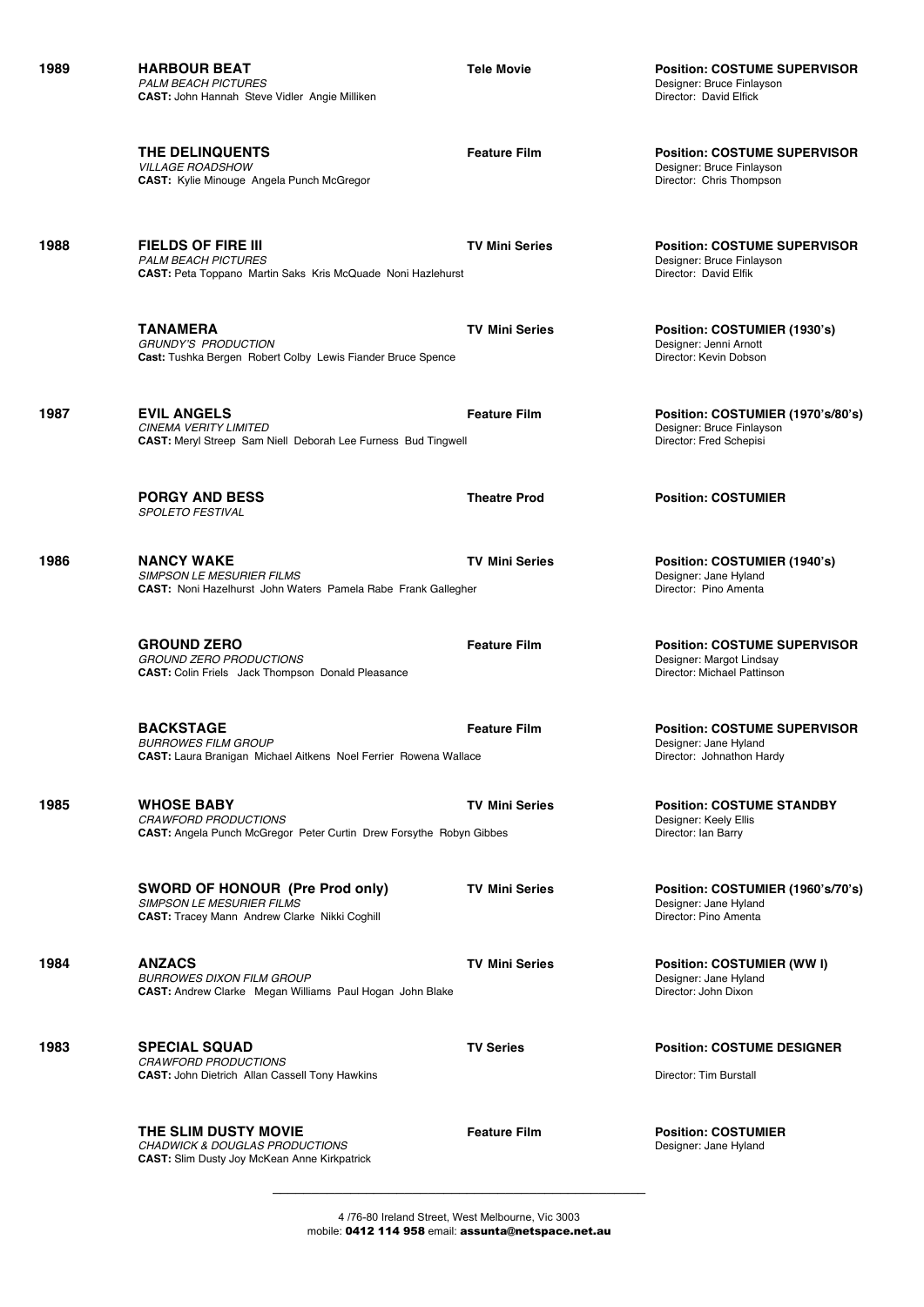**1989 HARBOUR BEAT Tele Movie Position: COSTUME SUPERVISOR** PALM BEACH PICTURES<br> **CAST**: John Hannah Steve Vidler Angie Milliken<br>
Director: David Elfick **CAST:** John Hannah Steve Vidler Angie Milliken

*VILLAGE ROADSHOW* Designer: Bruce Finlayson **CAST:** Kylie Minouge Angela Punch McGregor

**1988 FIELDS OF FIRE III TV Mini Series Position: COSTUME SUPERVISOR PALM BEACH PICTURES**<br> **CAST:** Peta Toppano Martin Saks Kris McQuade Noni Hazleburst **Designer: Designer: David Flfik**<br>
Director: David Flfik **CAST:** Peta Toppano Martin Saks Kris McQuade Noni Hazlehurst

> **TANAMERA TV Mini Series Position: COSTUMIER (1930's) GRUNDY'S PRODUCTION**<br> **Cast:** Tushka Bergen Robert Colby Lewis Fiander Bruce Spence<br> **Cast:** Tushka Bergen Robert Colby Lewis Fiander Bruce Spence<br> **Cast:** Tushka Bergen Robert Colby Lewis Fiander Bruce Spence **Cast:** Tushka Bergen Robert Colby Lewis Fiander Bruce Spence

**1987 EVIL ANGELS Feature Film Position: COSTUMIER (1970's/80's)** *CINEMA VERITY LIMITED*<br>
CAST: Mervi Streep Sam Niell Deborah Lee Furness Bud Tingwell<br>
CAST: Mervi Streep Sam Niell Deborah Lee Furness Bud Tingwell<br>
CAST: Mervi Streep Sam Niell Deborah Lee Furness Bud Tingwell **CAST:** Meryl Streep Sam Niell Deborah Lee Furness Bud Tingwell

> **PORGY AND BESS Theatre Prod Position: COSTUMIER** *SPOLETO FESTIVAL*

**1986 NANCY WAKE TV Mini Series Position: COSTUMIER (1940's)** *SIMPSON LE MESURIER FILMS* Designer: Jane Hyland **CAST: Noni Hazelhurst John Waters Pamela Rabe Frank Gallegher** 

> **GROUND ZERO Feature Film Position: COSTUME SUPERVISOR** *GROUND ZERO PRODUCTIONS* Designer: Margot Lindsay **CAST:** Colin Friels Jack Thompson Donald Pleasance

> **BACKSTAGE**<br> **Feature Film Position: COSTUME SUPERVISOR**<br> **RUBBOWES FILM GROUP CAST:** Laura Branigan Michael Aitkens Noel Ferrier Rowena Wallace

**1985 WHOSE BABY TV Mini Series Position: COSTUME STANDBY** *CRAWFORD PRODUCTIONS*<br>
CAST: Angela Punch McGregor Peter Curtin Drew Forsythe Robyn Gibbes<br>
Director: Ian Barry **CAST:** Angela Punch McGregor Peter Curtin Drew Forsythe Robyn Gibbes

> **SWORD OF HONOUR (Pre Prod only) TV Mini Series Position: COSTUMIER (1960's/70's)** SIMPSON LE MESURIER FILMS<br> **CAST:** Tracey Mann Andrew Clarke Nikki Coghill **Discussion CAST: Discussion CAST:** Director: Pino Amenta **CAST:** Tracey Mann Andrew Clarke Nikki Coghill

**1984 ANZACS TV Mini Series Position: COSTUMIER (WW I) BURROWES DIXON FILM GROUP**<br> **CAST:** Andrew Clarke Megan Williams Paul Hogan John Blake<br>
Director: John Dixon **CAST:** Andrew Clarke Megan Williams Paul Hogan John Blake

**1983 SPECIAL SQUAD TV Series Position: COSTUME DESIGNER** *CRAWFORD PRODUCTIONS* **CAST:** John Dietrich Allan Cassell Tony Hawkins **Director: Tim Burstall** Director: Tim Burstall

**CHADWICK & DOUGLAS PRODUCTIONS CAST:** Slim Dusty Joy McKean Anne Kirkpatrick

**THE DELINQUENTS**<br> **Feature Film Position: COSTUME SUPERVISOR**<br> *VILLAGE BOADSHOW*Designer: Bruce Finlayson

**Designer: Jane Hyland<br>Director: Johnathon Hardy** 

**THE SLIM DUSTY MOVIE**<br> *CHADWICK & DOUGLAS PRODUCTIONS* **Feature Film Examplement CHADWICK & DOUGLAS PRODUCTIONS** 

4 /76-80 Ireland Street, West Melbourne, Vic 3003 mobile: 0412 114 958 email: assunta@netspace.net.au